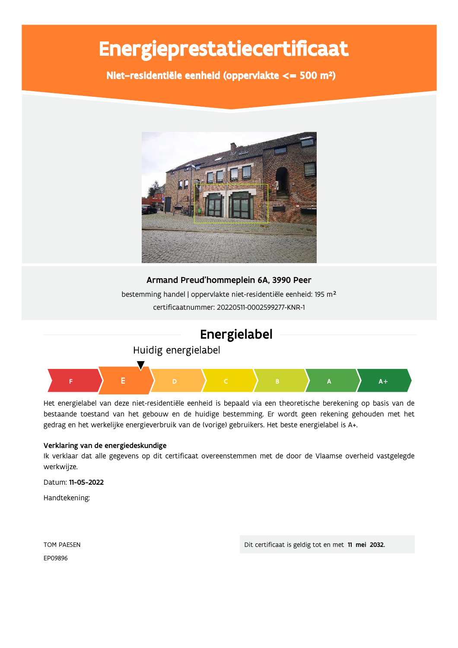# Energieprestatiecertificaat

Niet-residentiële eenheid (oppervlakte <= 500 m<sup>2</sup>)



### Armand Preud'hommeplein 6A, 3990 Peer

bestemming handel | oppervlakte niet-residentiële eenheid: 195 m<sup>2</sup> certificaatnummer: 20220511-0002599277-KNR-1



Huidig energielabel



Het energielabel van deze niet-residentiële eenheid is bepaald via een theoretische berekening op basis van de bestaande toestand van het gebouw en de huidige bestemming. Er wordt geen rekening gehouden met het gedrag en het werkelijke energieverbruik van de (vorige) gebruikers. Het beste energielabel is A+.

### Verklaring van de energiedeskundige

Ik verklaar dat alle gegevens op dit certificaat overeenstemmen met de door de Vlaamse overheid vastgelegde werkwijze.

Datum: 11-05-2022

Handtekening:

**TOM PAESEN** FP09896

Dit certificaat is geldig tot en met 11 mei 2032.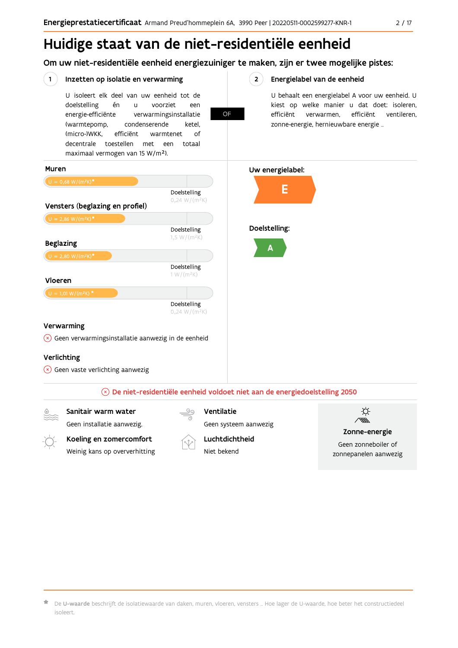# Huidige staat van de niet-residentiële eenheid

Om uw niet-residentiële eenheid energiezuiniger te maken, zijn er twee mogelijke pistes:

OF

#### $(1)$ Inzetten op isolatie en verwarming

U isoleert elk deel van uw eenheid tot de én voorziet doelstelling  $\mathbf{u}$ een energie-efficiënte verwarmingsinstallatie (warmtepomp, condenserende ketel, (micro-)WKK. efficiënt warmtenet  $\bigcap_{ }$ decentrale toestellen met een totaal maximaal vermogen van 15 W/m<sup>2</sup>).

 $2^{\circ}$ Energielabel van de eenheid

> U behaalt een energielabel A voor uw eenheid. U kiest op welke manier u dat doet: isoleren, efficiënt verwarmen, efficiënt ventileren, zonne-energie, hernieuwbare energie ...





De U-waarde beschrijft de isolatiewaarde van daken, muren, vloeren, vensters ... Hoe lager de U-waarde, hoe beter het constructiedeel isoleert.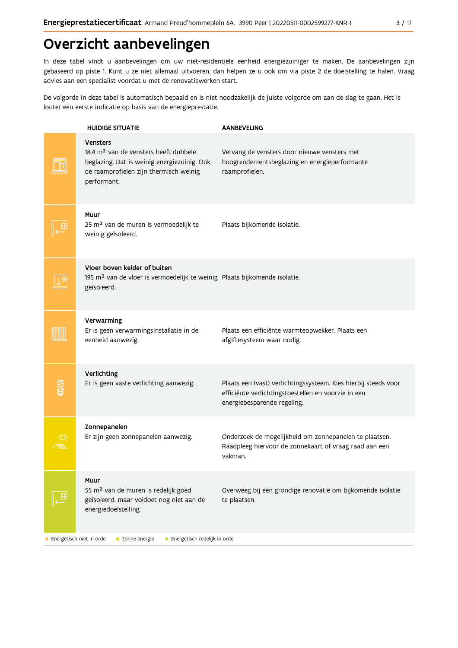# Overzicht aanbevelingen

In deze tabel vindt u aanbevelingen om uw niet-residentiële eenheid energiezuiniger te maken. De aanbevelingen zijn gebaseerd op piste 1. Kunt u ze niet allemaal uitvoeren, dan helpen ze u ook om via piste 2 de doelstelling te halen. Vraag advies aan een specialist voordat u met de renovatiewerken start.

De volgorde in deze tabel is automatisch bepaald en is niet noodzakelijk de juiste volgorde om aan de slag te gaan. Het is louter een eerste indicatie op basis van de energieprestatie.

|                          | <b>HUIDIGE SITUATIE</b>                                                                                                                                                      | <b>AANBEVELING</b>                                                                                                                                    |
|--------------------------|------------------------------------------------------------------------------------------------------------------------------------------------------------------------------|-------------------------------------------------------------------------------------------------------------------------------------------------------|
|                          | <b>Vensters</b><br>18,4 m <sup>2</sup> van de vensters heeft dubbele<br>beglazing. Dat is weinig energiezuinig. Ook<br>de raamprofielen zijn thermisch weinig<br>performant. | Vervang de vensters door nieuwe vensters met<br>hoogrendementsbeglazing en energieperformante<br>raamprofielen.                                       |
|                          | Muur<br>25 m <sup>2</sup> van de muren is vermoedelijk te<br>weinig geïsoleerd.                                                                                              | Plaats bijkomende isolatie.                                                                                                                           |
| Ш                        | Vloer boven kelder of buiten<br>195 m <sup>2</sup> van de vloer is vermoedelijk te weinig Plaats bijkomende isolatie.<br>geïsoleerd.                                         |                                                                                                                                                       |
|                          | Verwarming<br>Er is geen verwarmingsinstallatie in de<br>eenheid aanwezig.                                                                                                   | Plaats een efficiënte warmteopwekker. Plaats een<br>afgiftesysteem waar nodig.                                                                        |
|                          | Verlichting<br>Er is geen vaste verlichting aanwezig.                                                                                                                        | Plaats een (vast) verlichtingssysteem. Kies hierbij steeds voor<br>efficiënte verlichtingstoestellen en voorzie in een<br>energiebesparende regeling. |
|                          | Zonnepanelen<br>Er zijn geen zonnepanelen aanwezig.                                                                                                                          | Onderzoek de mogelijkheid om zonnepanelen te plaatsen.<br>Raadpleeg hiervoor de zonnekaart of vraag raad aan een<br>vakman.                           |
|                          | Muur<br>55 m <sup>2</sup> van de muren is redelijk goed<br>geïsoleerd, maar voldoet nog niet aan de<br>energiedoelstelling.                                                  | Overweeg bij een grondige renovatie om bijkomende isolatie<br>te plaatsen.                                                                            |
| Energetisch niet in orde | • Energetisch redelijk in orde<br>• Zonne-energie                                                                                                                            |                                                                                                                                                       |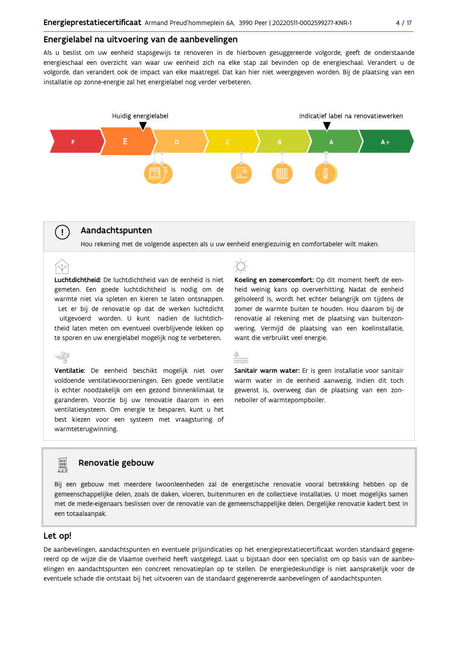### Energielabel na uitvoering van de aanbevelingen

Als u beslist om uw eenheid stapsgewijs te renoveren in de hierboven gesuggereerde volgorde, geeft de onderstaande energieschaal een overzicht van waar uw eenheid zich na elke stap zal bevinden op de energieschaal. Verandert u de volgorde, dan verandert ook de impact van elke maatregel. Dat kan hier niet weergegeven worden. Bij de plaatsing van een installatie op zonne-energie zal het energielabel nog verder verbeteren.



### Aandachtspunten

 $\left(\begin{array}{c} 1 \end{array}\right)$ 

Hou rekening met de volgende aspecten als u uw eenheid energiezuinig en comfortabeler wilt maken.

Luchtdichtheid: De luchtdichtheid van de eenheid is niet gemeten. Een goede luchtdichtheid is nodig om de warmte niet via spleten en kieren te laten ontsnappen. Let er bij de renovatie op dat de werken luchtdicht uitgevoerd worden. U kunt nadien de luchtdichtheid laten meten om eventueel overblijvende lekken op te sporen en uw energielabel mogelijk nog te verbeteren.

 $\stackrel{90}{\equiv}$ Ventilatie: De eenheid beschikt mogelijk niet over voldoende ventilatievoorzieningen. Een goede ventilatie is echter noodzakelijk om een gezond binnenklimaat te garanderen. Voorzie bij uw renovatie daarom in een ventilatiesysteem. Om energie te besparen, kunt u het best kiezen voor een systeem met vraagsturing of warmteterugwinning.

Koeling en zomercomfort: Op dit moment heeft de eenheid weinig kans op oververhitting. Nadat de eenheid geïsoleerd is, wordt het echter belangrijk om tijdens de zomer de warmte buiten te houden. Hou daarom bij de renovatie al rekening met de plaatsing van buitenzonwering. Vermijd de plaatsing van een koelinstallatie, want die verbruikt veel energie.



Sanitair warm water: Er is geen installatie voor sanitair warm water in de eenheid aanwezig. Indien dit toch gewenst is, overweeg dan de plaatsing van een zonneboiler of warmtepompboiler.

### Renovatie gebouw

Bij een gebouw met meerdere (woon)eenheden zal de energetische renovatie vooral betrekking hebben op de gemeenschappelijke delen, zoals de daken, vloeren, buitenmuren en de collectieve installaties. U moet mogelijks samen met de mede-eigenaars beslissen over de renovatie van de gemeenschappelijke delen. Dergelijke renovatie kadert best in een totaalaanpak.

### Let op!

**Property** 

De aanbevelingen, aandachtspunten en eventuele prijsindicaties op het energieprestatiecertificaat worden standaard gegenereerd op de wijze die de Vlaamse overheid heeft vastgelegd. Laat u bijstaan door een specialist om op basis van de aanbevelingen en aandachtspunten een concreet renovatieplan op te stellen. De energiedeskundige is niet aansprakelijk voor de eventuele schade die ontstaat bij het uitvoeren van de standaard gegenereerde aanbevelingen of aandachtspunten.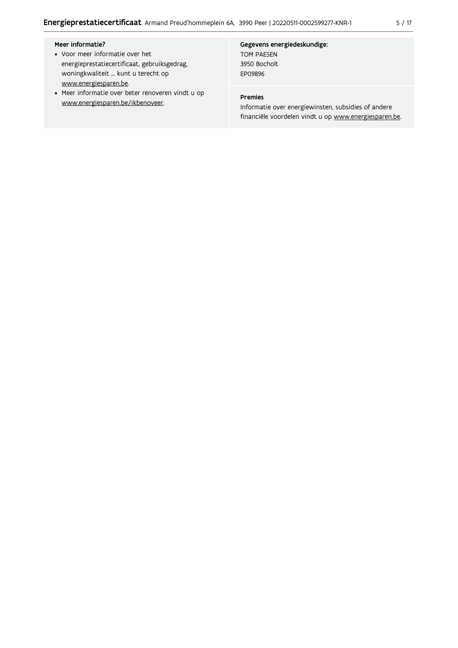### Meer informatie?

- Voor meer informatie over het energieprestatiecertificaat, gebruiksgedrag, woningkwaliteit ... kunt u terecht op www.energiesparen.be.
- Meer informatie over beter renoveren vindt u op www.energiesparen.be/ikbenoveer.

### Gegevens energiedeskundige:

TOM PAESEN 3950 Bocholt EP09896

### Premies

Informatie over energiewinsten, subsidies of andere financiële voordelen vindt u op www.energiesparen.be.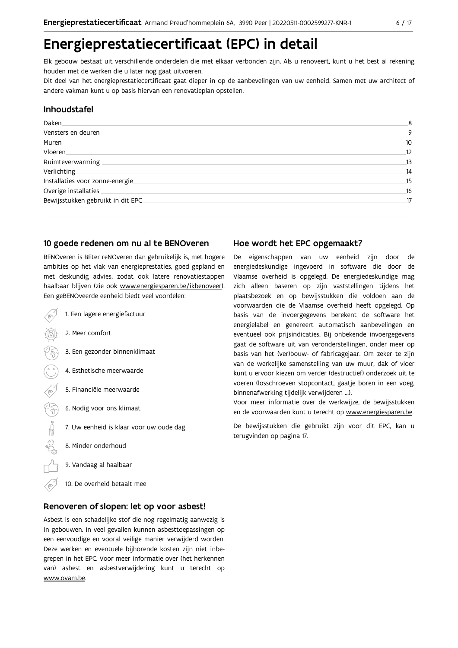# Energieprestatiecertificaat (EPC) in detail

Elk gebouw bestaat uit verschillende onderdelen die met elkaar verbonden zijn. Als u renoveert, kunt u het best al rekening houden met de werken die u later nog gaat uitvoeren.

Dit deel van het energieprestatiecertificaat gaat dieper in op de aanbevelingen van uw eenheid. Samen met uw architect of andere vakman kunt u op basis hiervan een renovatieplan opstellen.

### Inhoudstafel

| Daken.                             | 8  |
|------------------------------------|----|
| Vensters en deuren.                | 9  |
| Muren.                             | 10 |
| Vloeren                            | 12 |
| Ruimteverwarming                   | 13 |
| Verlichting                        | 14 |
| Installaties voor zonne-energie    | 15 |
| Overige installaties               | 16 |
| Bewijsstukken gebruikt in dit EPC. | 17 |
|                                    |    |

### 10 goede redenen om nu al te BENOveren

BENOveren is BEter reNOveren dan gebruikelijk is, met hogere ambities op het vlak van energieprestaties, goed gepland en met deskundig advies, zodat ook latere renovatiestappen haalbaar blijven (zie ook www.energiesparen.be/ikbenoveer). Een geBENOveerde eenheid biedt veel voordelen:

1. Een lagere energiefactuur 2. Meer comfort 3. Een gezonder binnenklimaat 4. Esthetische meerwaarde 5. Financiële meerwaarde 03 6. Nodig voor ons klimaat  $\begin{picture}(150,10) \put(0,0){\line(1,0){10}} \put(15,0){\line(1,0){10}} \put(15,0){\line(1,0){10}} \put(15,0){\line(1,0){10}} \put(15,0){\line(1,0){10}} \put(15,0){\line(1,0){10}} \put(15,0){\line(1,0){10}} \put(15,0){\line(1,0){10}} \put(15,0){\line(1,0){10}} \put(15,0){\line(1,0){10}} \put(15,0){\line(1,0){10}} \put(15,0){\line($ 7. Uw eenheid is klaar voor uw oude dag 8. Minder onderhoud 9. Vandaag al haalbaar 10. De overheid betaalt mee

### Renoveren of slopen: let op voor asbest!

Asbest is een schadelijke stof die nog regelmatig aanwezig is in gebouwen. In veel gevallen kunnen asbesttoepassingen op een eenvoudige en vooral veilige manier verwijderd worden. Deze werken en eventuele bijhorende kosten zijn niet inbegrepen in het EPC. Voor meer informatie over (het herkennen van) asbest en asbestverwijdering kunt u terecht op www.ovam.be.

### Hoe wordt het EPC opgemaakt?

De eigenschappen van uw eenheid zijn door de energiedeskundige ingevoerd in software die door de Vlaamse overheid is opgelegd. De energiedeskundige mag zich alleen baseren op zijn vaststellingen tijdens het plaatsbezoek en op bewijsstukken die voldoen aan de voorwaarden die de Vlaamse overheid heeft opgelegd. Op basis van de invoergegevens berekent de software het energielabel en genereert automatisch aanbevelingen en eventueel ook prijsindicaties. Bij onbekende invoergegevens gaat de software uit van veronderstellingen, onder meer op basis van het (ver)bouw- of fabricagejaar. Om zeker te zijn van de werkelijke samenstelling van uw muur, dak of vloer kunt u ervoor kiezen om verder (destructief) onderzoek uit te voeren (losschroeven stopcontact, gaatje boren in een voeg, binnenafwerking tijdelijk verwijderen ...).

Voor meer informatie over de werkwijze, de bewijsstukken en de voorwaarden kunt u terecht op www.energiesparen.be.

De bewijsstukken die gebruikt zijn voor dit EPC, kan u terugvinden op pagina 17.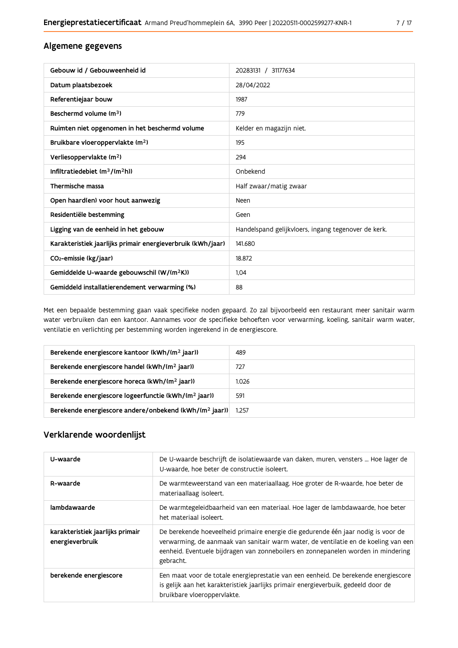| Gebouw id / Gebouweenheid id                                | 20283131 / 31177634                                 |
|-------------------------------------------------------------|-----------------------------------------------------|
| Datum plaatsbezoek                                          | 28/04/2022                                          |
| Referentiejaar bouw                                         | 1987                                                |
| Beschermd volume (m <sup>3</sup> )                          | 779                                                 |
| Ruimten niet opgenomen in het beschermd volume              | Kelder en magazijn niet.                            |
| Bruikbare vloeroppervlakte (m <sup>2</sup> )                | 195                                                 |
| Verliesoppervlakte (m <sup>2</sup> )                        | 294                                                 |
| Infiltratiedebiet $(m^3/(m^2h))$                            | Onbekend                                            |
| Thermische massa                                            | Half zwaar/matig zwaar                              |
| Open haard(en) voor hout aanwezig                           | Neen                                                |
| Residentiële bestemming                                     | Geen                                                |
| Ligging van de eenheid in het gebouw                        | Handelspand gelijkvloers, ingang tegenover de kerk. |
| Karakteristiek jaarlijks primair energieverbruik (kWh/jaar) | 141.680                                             |
| CO <sub>2</sub> -emissie (kg/jaar)                          | 18.872                                              |
| Gemiddelde U-waarde gebouwschil (W/(m <sup>2</sup> K))      | 1,04                                                |
| Gemiddeld installatierendement verwarming (%)               | 88                                                  |

Met een bepaalde bestemming gaan vaak specifieke noden gepaard. Zo zal bijvoorbeeld een restaurant meer sanitair warm water verbruiken dan een kantoor. Aannames voor de specifieke behoeften voor verwarming, koeling, sanitair warm water, ventilatie en verlichting per bestemming worden ingerekend in de energiescore.

| Berekende energiescore kantoor (kWh/(m <sup>2</sup> jaar))         | 489   |
|--------------------------------------------------------------------|-------|
| Berekende energiescore handel (kWh/(m <sup>2</sup> jaar))          | 727   |
| Berekende energiescore horeca (kWh/(m <sup>2</sup> jaar))          | 1.026 |
| Berekende energiescore logeerfunctie (kWh/(m <sup>2</sup> jaar))   | 591   |
| Berekende energiescore andere/onbekend (kWh/(m <sup>2</sup> jaar)) | 1.257 |

### Verklarende woordenlijst

| U-waarde                                            | De U-waarde beschrijft de isolatiewaarde van daken, muren, vensters  Hoe lager de<br>U-waarde, hoe beter de constructie isoleert.                                                                                                                                          |
|-----------------------------------------------------|----------------------------------------------------------------------------------------------------------------------------------------------------------------------------------------------------------------------------------------------------------------------------|
| R-waarde                                            | De warmteweerstand van een materiaallaag. Hoe groter de R-waarde, hoe beter de<br>materiaallaag isoleert.                                                                                                                                                                  |
| lambdawaarde                                        | De warmtegeleidbaarheid van een materiaal. Hoe lager de lambdawaarde, hoe beter<br>het materiaal isoleert.                                                                                                                                                                 |
| karakteristiek jaarlijks primair<br>energieverbruik | De berekende hoeveelheid primaire energie die gedurende één jaar nodig is voor de<br>verwarming, de aanmaak van sanitair warm water, de ventilatie en de koeling van een<br>eenheid. Eventuele bijdragen van zonneboilers en zonnepanelen worden in mindering<br>gebracht. |
| berekende energiescore                              | Een maat voor de totale energieprestatie van een eenheid. De berekende energiescore<br>is gelijk aan het karakteristiek jaarlijks primair energieverbuik, gedeeld door de<br>bruikbare vloeroppervlakte.                                                                   |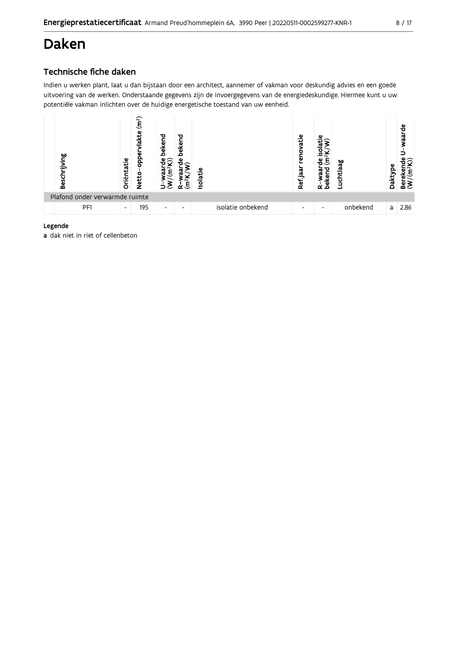# **Daken**

### Technische fiche daken

Indien u werken plant, laat u dan bijstaan door een architect, aannemer of vakman voor deskundig advies en een goede uitvoering van de werken. Onderstaande gegevens zijn de invoergegevens van de energiedeskundige. Hiermee kunt u uw potentiële vakman inlichten over de huidige energetische toestand van uw eenheid.



### Legende

a dak niet in riet of cellenbeton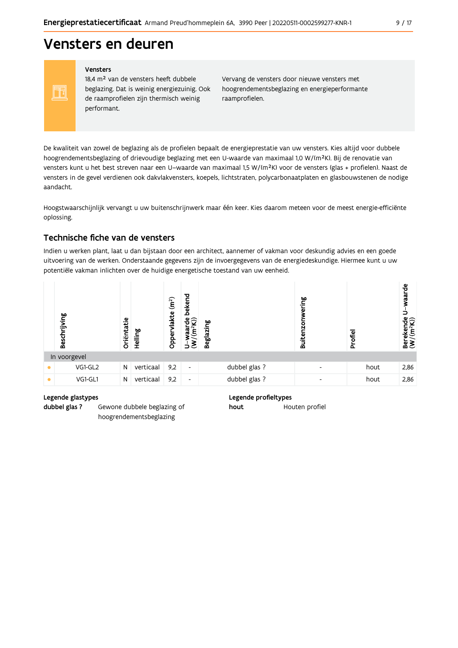# Vensters en deuren

#### Vensters

FF

18,4 m<sup>2</sup> van de vensters heeft dubbele beglazing. Dat is weinig energiezuinig. Ook de raamprofielen zijn thermisch weinig performant.

Vervang de vensters door nieuwe vensters met hoogrendementsbeglazing en energieperformante raamprofielen.

De kwaliteit van zowel de beglazing als de profielen bepaalt de energieprestatie van uw vensters. Kies altijd voor dubbele hoogrendementsbeglazing of drievoudige beglazing met een U-waarde van maximaal 1,0 W/(m<sup>2</sup>K). Bij de renovatie van vensters kunt u het best streven naar een U-waarde van maximaal 1,5 W/(m<sup>2</sup>K) voor de vensters (glas + profielen). Naast de vensters in de gevel verdienen ook dakvlakvensters, koepels, lichtstraten, polycarbonaatplaten en glasbouwstenen de nodige aandacht.

Hoogstwaarschijnlijk vervangt u uw buitenschrijnwerk maar één keer. Kies daarom meteen voor de meest energie-efficiënte oplossing.

### Technische fiche van de vensters

Indien u werken plant, laat u dan bijstaan door een architect, aannemer of vakman voor deskundig advies en een goede uitvoering van de werken. Onderstaande gegevens zijn de invoergegevens van de energiedeskundige. Hiermee kunt u uw potentiële vakman inlichten over de huidige energetische toestand van uw eenheid.



### Legende glastypes

dubbel glas ? Gewone dubbele beglazing of hoogrendementsbeglazing

### Legende profieltypes

Houten profiel hout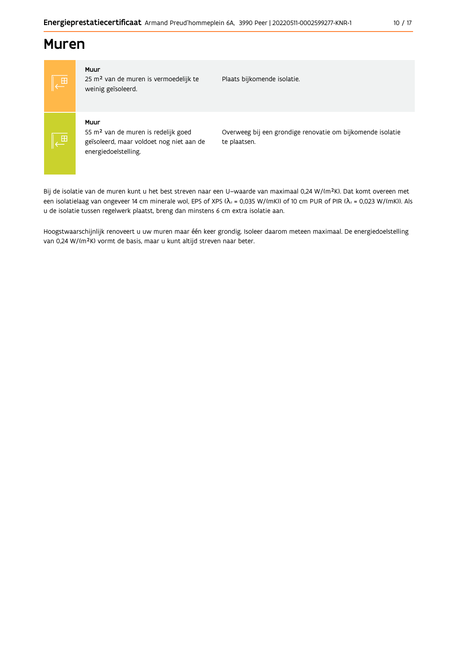## **Muren**



### Muur

25 m<sup>2</sup> van de muren is vermoedelijk te weinig geïsoleerd.

Plaats bijkomende isolatie.

### Muur

55 m<sup>2</sup> van de muren is redelijk goed geïsoleerd, maar voldoet nog niet aan de energiedoelstelling.

Overweeg bij een grondige renovatie om bijkomende isolatie te plaatsen.

Bij de isolatie van de muren kunt u het best streven naar een U-waarde van maximaal 0,24 W/(m<sup>2</sup>K). Dat komt overeen met een isolatielaag van ongeveer 14 cm minerale wol, EPS of XPS ( $\lambda$ <sub>d</sub> = 0,035 W/(mK)) of 10 cm PUR of PIR ( $\lambda$ <sub>d</sub> = 0,023 W/(mK)). Als u de isolatie tussen regelwerk plaatst, breng dan minstens 6 cm extra isolatie aan.

Hoogstwaarschijnlijk renoveert u uw muren maar één keer grondig. Isoleer daarom meteen maximaal. De energiedoelstelling van 0,24 W/(m<sup>2</sup>K) vormt de basis, maar u kunt altijd streven naar beter.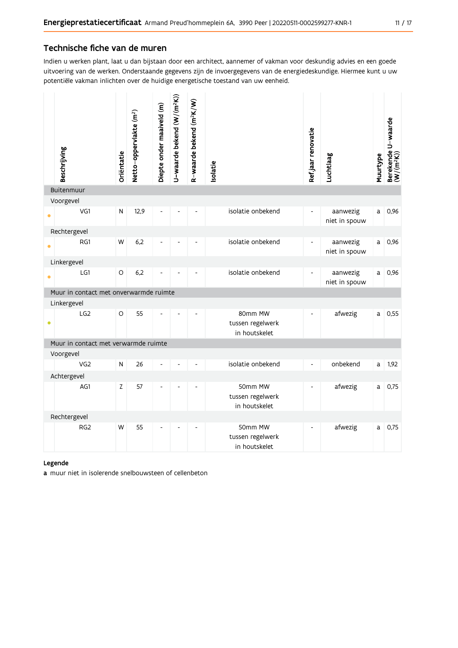### Technische fiche van de muren

Indien u werken plant, laat u dan bijstaan door een architect, aannemer of vakman voor deskundig advies en een goede uitvoering van de werken. Onderstaande gegevens zijn de invoergegevens van de energiedeskundige. Hiermee kunt u uw potentiële vakman inlichten over de huidige energetische toestand van uw eenheid.

|           | Beschrijving                           | Oriëntatie | Netto-oppervlakte (m <sup>2</sup> ) | Diepte onder maaiveld (m) | U-waarde bekend (W/(m <sup>2</sup> K)) | R-waarde bekend (m <sup>2</sup> K/W) | Isolatie |                                              | Ref.jaar renovatie       | Luchtlaag                 | Muurtype | Berekende U-waarde<br>(W/(m <sup>2</sup> K)) |
|-----------|----------------------------------------|------------|-------------------------------------|---------------------------|----------------------------------------|--------------------------------------|----------|----------------------------------------------|--------------------------|---------------------------|----------|----------------------------------------------|
|           | Buitenmuur                             |            |                                     |                           |                                        |                                      |          |                                              |                          |                           |          |                                              |
|           | Voorgevel                              |            |                                     |                           |                                        |                                      |          |                                              |                          |                           |          |                                              |
|           | VG1                                    | N          | 12,9                                |                           |                                        |                                      |          | isolatie onbekend                            | $\overline{\phantom{a}}$ | aanwezig<br>niet in spouw | a        | 0,96                                         |
|           | Rechtergevel                           |            |                                     |                           |                                        |                                      |          |                                              |                          |                           |          |                                              |
|           | RG1                                    | W          | 6,2                                 |                           |                                        | $\overline{a}$                       |          | isolatie onbekend                            | $\blacksquare$           | aanwezig<br>niet in spouw | a        | 0,96                                         |
|           | Linkergevel                            |            |                                     |                           |                                        |                                      |          |                                              |                          |                           |          |                                              |
|           | LG1                                    | $\circ$    | 6,2                                 |                           |                                        |                                      |          | isolatie onbekend                            |                          | aanwezig<br>niet in spouw | a        | 0,96                                         |
|           | Muur in contact met onverwarmde ruimte |            |                                     |                           |                                        |                                      |          |                                              |                          |                           |          |                                              |
|           | Linkergevel                            |            |                                     |                           |                                        |                                      |          |                                              |                          |                           |          |                                              |
| $\bullet$ | LG <sub>2</sub>                        | $\circ$    | 55                                  |                           |                                        | $\overline{a}$                       |          | 80mm MW<br>tussen regelwerk<br>in houtskelet | $\overline{\phantom{a}}$ | afwezig                   | a        | 0,55                                         |
|           | Muur in contact met verwarmde ruimte   |            |                                     |                           |                                        |                                      |          |                                              |                          |                           |          |                                              |
|           | Voorgevel                              |            |                                     |                           |                                        |                                      |          |                                              |                          |                           |          |                                              |
|           | VG <sub>2</sub>                        | N          | 26                                  |                           |                                        |                                      |          | isolatie onbekend                            | $\blacksquare$           | onbekend                  | a        | 1,92                                         |
|           | Achtergevel                            |            |                                     |                           |                                        |                                      |          |                                              |                          |                           |          |                                              |
|           | AG1                                    | Z          | 57                                  |                           |                                        |                                      |          | 50mm MW<br>tussen regelwerk<br>in houtskelet | $\overline{\phantom{a}}$ | afwezig                   | a        | 0,75                                         |
|           | Rechtergevel                           |            |                                     |                           |                                        |                                      |          |                                              |                          |                           |          |                                              |
|           | RG <sub>2</sub>                        | W          | 55                                  |                           |                                        |                                      |          | 50mm MW<br>tussen regelwerk<br>in houtskelet | $\overline{\phantom{a}}$ | afwezig                   | a        | 0,75                                         |

### Legende

a muur niet in isolerende snelbouwsteen of cellenbeton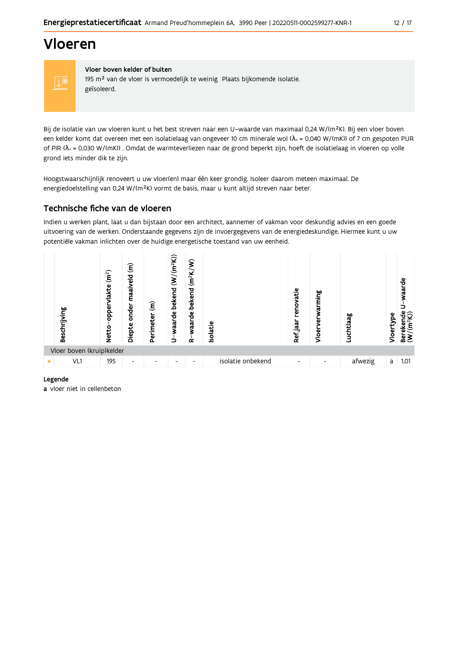# Vloeren



Vloer boven kelder of buiten 195 m<sup>2</sup> van de vloer is vermoedelijk te weinig Plaats bijkomende isolatie. geïsoleerd.

Bij de isolatie van uw vloeren kunt u het best streven naar een U-waarde van maximaal 0,24 W/(m<sup>2</sup>K). Bij een vloer boven een kelder komt dat overeen met een isolatielaag van ongeveer 10 cm minerale wol ( $\lambda_4$  = 0,040 W/(mK)) of 7 cm gespoten PUR of PIR ( $\lambda_4$  = 0,030 W/(mK)). Omdat de warmteverliezen naar de grond beperkt zijn, hoeft de isolatielaag in vloeren op volle grond iets minder dik te zijn.

Hoogstwaarschijnlijk renoveert u uw vloer(en) maar één keer grondig. Isoleer daarom meteen maximaal. De energiedoelstelling van 0,24 W/(m<sup>2</sup>K) vormt de basis, maar u kunt altijd streven naar beter.

### Technische fiche van de vloeren

Indien u werken plant, laat u dan bijstaan door een architect, aannemer of vakman voor deskundig advies en een goede uitvoering van de werken. Onderstaande gegevens zijn de invoergegevens van de energiedeskundige. Hiermee kunt u uw potentiële vakman inlichten over de huidige energetische toestand van uw eenheid.



#### Legende

a vloer niet in cellenbeton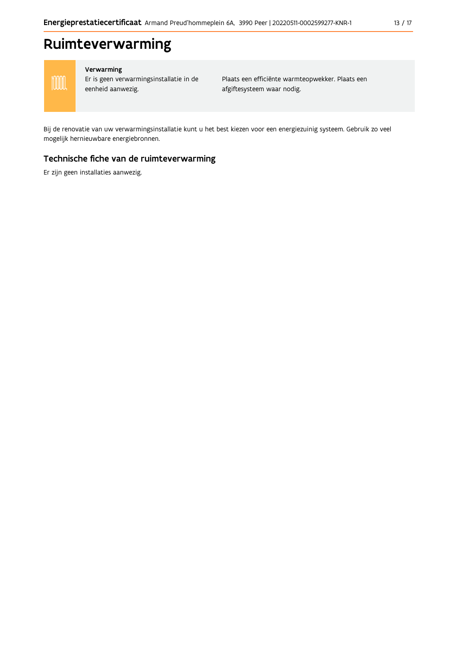# Ruimteverwarming

![](_page_12_Picture_3.jpeg)

### Verwarming

Er is geen verwarmingsinstallatie in de eenheid aanwezig.

Plaats een efficiënte warmteopwekker. Plaats een afgiftesysteem waar nodig.

Bij de renovatie van uw verwarmingsinstallatie kunt u het best kiezen voor een energiezuinig systeem. Gebruik zo veel mogelijk hernieuwbare energiebronnen.

### Technische fiche van de ruimteverwarming

Er zijn geen installaties aanwezig.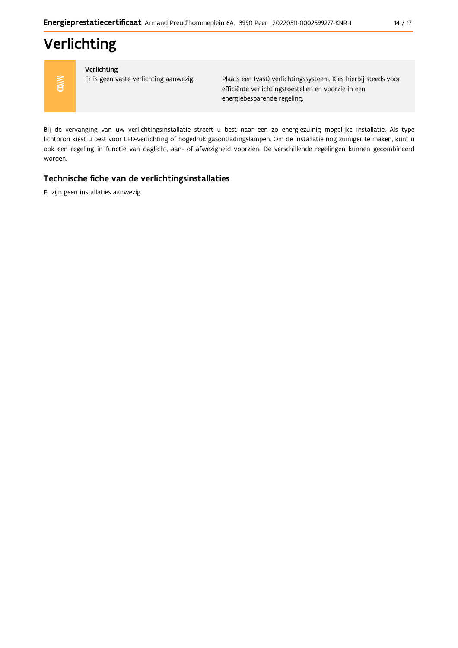# Verlichting

![](_page_13_Picture_3.jpeg)

### Verlichting

Er is geen vaste verlichting aanwezig.

Plaats een (vast) verlichtingssysteem. Kies hierbij steeds voor efficiënte verlichtingstoestellen en voorzie in een energiebesparende regeling.

Bij de vervanging van uw verlichtingsinstallatie streeft u best naar een zo energiezuinig mogelijke installatie. Als type lichtbron kiest u best voor LED-verlichting of hogedruk gasontladingslampen. Om de installatie nog zuiniger te maken, kunt u ook een regeling in functie van daglicht, aan- of afwezigheid voorzien. De verschillende regelingen kunnen gecombineerd worden.

### Technische fiche van de verlichtingsinstallaties

Er zijn geen installaties aanwezig.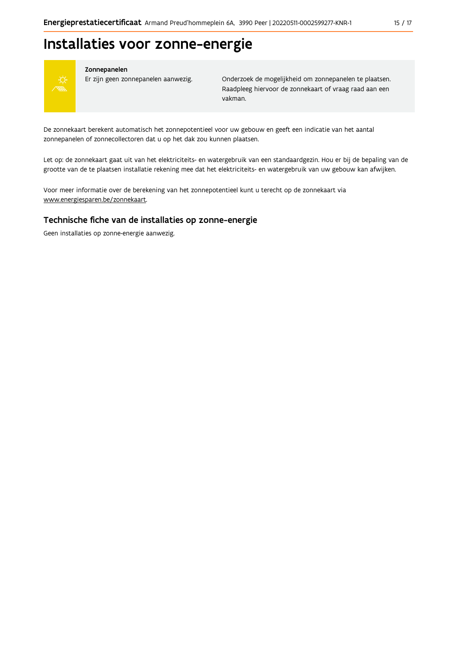# Installaties voor zonne-energie

![](_page_14_Picture_3.jpeg)

### Zonnepanelen

Er zijn geen zonnepanelen aanwezig.

Onderzoek de mogelijkheid om zonnepanelen te plaatsen. Raadpleeg hiervoor de zonnekaart of vraag raad aan een vakman.

De zonnekaart berekent automatisch het zonnepotentieel voor uw gebouw en geeft een indicatie van het aantal zonnepanelen of zonnecollectoren dat u op het dak zou kunnen plaatsen.

Let op: de zonnekaart gaat uit van het elektriciteits- en watergebruik van een standaardgezin. Hou er bij de bepaling van de grootte van de te plaatsen installatie rekening mee dat het elektriciteits- en watergebruik van uw gebouw kan afwijken.

Voor meer informatie over de berekening van het zonnepotentieel kunt u terecht op de zonnekaart via www.energiesparen.be/zonnekaart.

### Technische fiche van de installaties op zonne-energie

Geen installaties op zonne-energie aanwezig.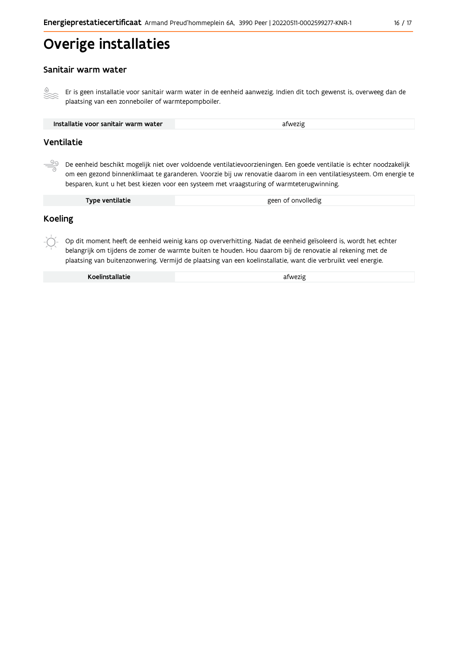# Overige installaties

### Sanitair warm water

Er is geen installatie voor sanitair warm water in de eenheid aanwezig. Indien dit toch gewenst is, overweeg dan de plaatsing van een zonneboiler of warmtepompboiler.

| afwezig |
|---------|
|---------|

### Ventilatie

De eenheid beschikt mogelijk niet over voldoende ventilatievoorzieningen. Een goede ventilatie is echter noodzakelijk om een gezond binnenklimaat te garanderen. Voorzie bij uw renovatie daarom in een ventilatiesysteem. Om energie te besparen, kunt u het best kiezen voor een systeem met vraagsturing of warmteterugwinning.

| Type ventilatie | geen of onvolledig |
|-----------------|--------------------|
|                 |                    |

### **Koeling**

Op dit moment heeft de eenheid weinig kans op oververhitting. Nadat de eenheid geïsoleerd is, wordt het echter belangrijk om tijdens de zomer de warmte buiten te houden. Hou daarom bij de renovatie al rekening met de plaatsing van buitenzonwering. Vermijd de plaatsing van een koelinstallatie, want die verbruikt veel energie.

Koelinstallatie

afwezig